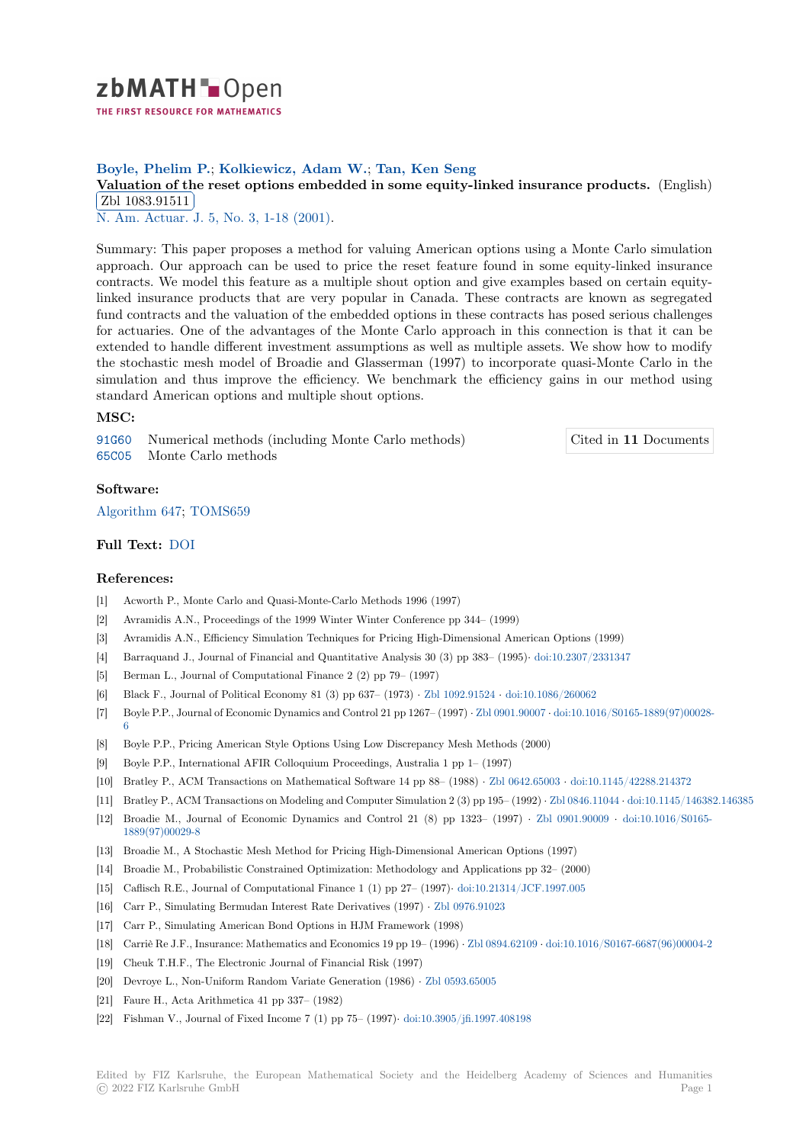

## **Boyle, Phelim P.**; **Kolkiewicz, Adam W.**; **Tan, Ken Seng**

# **[V](https://zbmath.org/)aluation of the reset options embedded in some equity-linked insurance products.** (English) Zbl 1083.91511

**EM 1000.91011**<br>N. Am. Actuar. J. 5, No. 3, 1-18 (2001).

[Summary: This paper proposes a method for valuing American options using a Monte Carlo](https://zbmath.org/1083.91511) simulation [approach. Our ap](https://zbmath.org/1083.91511)proach can be used to price the reset feature found in some equity-linked insurance [contracts. We mod](https://zbmath.org/journals/?q=se:3081)[el this feature as a m](https://zbmath.org/?q=in:122468)ultiple shout option and give examples based on certain equitylinked insurance products that are very popular in Canada. These contracts are known as segregated fund contracts and the valuation of the embedded options in these contracts has posed serious challenges for actuaries. One of the advantages of the Monte Carlo approach in this connection is that it can be extended to handle different investment assumptions as well as multiple assets. We show how to modify the stochastic mesh model of Broadie and Glasserman (1997) to incorporate quasi-Monte Carlo in the simulation and thus improve the efficiency. We benchmark the efficiency gains in our method using standard American options and multiple shout options.

#### **MSC:**

91G60 Numerical methods (including Monte Carlo methods) 65C05 Monte Carlo methods

Cited in **11** Documents

### **Software:**

[Algori](https://zbmath.org/classification/?q=cc:91G60)thm 647; TOMS659

## **Full Text:** DOI

#### **[References:](https://swmath.org/software/13164)**

- [1] Acworth P., Monte Carlo and Quasi-Monte-Carlo Methods 1996 (1997)
- [2] Avramidi[s A.N.](https://dx.doi.org/10.1080/10920277.2001.10595994), Proceedings of the 1999 Winter Winter Conference pp 344– (1999)
- [3] Avramidis A.N., Efficiency Simulation Techniques for Pricing High-Dimensional American Options (1999)
- [4] Barraquand J., Journal of Financial and Quantitative Analysis 30 (3) pp 383– (1995)*·* doi:10.2307/2331347
- [5] Berman L., Journal of Computational Finance 2 (2) pp 79– (1997)
- [6] Black F., Journal of Political Economy 81 (3) pp 637– (1973) *·* Zbl 1092.91524 *·* doi:10.1086/260062
- [7] Boyle P.P., Journal of Economic Dynamics and Control 21 pp 1267– (1997) *·* Zbl 0901.90007 *[·](https://dx.doi.org/10.2307/2331347)* doi:10.1016/S0165-1889(97)00028- 6
- [8] Boyle P.P., Pricing American Style Options Using Low Discrepancy Mesh Methods (2000)
- [9] Boyle P.P., International AFIR Colloquium Proceedings, Austr[alia 1 pp 1– \(19](https://zbmath.org/1092.91524)9[7\)](https://dx.doi.org/10.1086/260062)
- [10] Bratley P., ACM Transactions on Mathematical Software 14 pp 88– (1988) *·* [Zbl 0642.650](https://zbmath.org/0901.90007)03 *·* [doi:10.1145/42288.214372](https://dx.doi.org/10.1016/S0165-1889(97)00028-6)
- [11] [B](https://dx.doi.org/10.1016/S0165-1889(97)00028-6)ratley P., ACM Transactions on Modeling and Computer Simulation 2 (3) pp 195– (1992) *·* Zbl 0846.11044 *·* doi:10.1145/146382.146385
- [12] Broadie M., Journal of Economic Dynamics and Control 21 (8) pp 1323– (1997) *·* Zbl 0901.90009 *·* doi:10.1016/S0165- 1889(97)00029-8
- [13] Broadie M., A Stochastic Mesh Method for Pricing High-Dimensional Ameri[can Options \(19](https://zbmath.org/0642.65003)9[7\)](https://dx.doi.org/10.1145/42288.214372)
- [14] Broadie M., Probabilistic Constrained Optimization: Methodology and Applications pp 3[2– \(2000\)](https://zbmath.org/0846.11044)
- [15] Caflisch R.E., Journal of Computational Finance 1 (1) pp 27– (1997)*·* doi:10.21314/JC[F.1997.005](https://zbmath.org/0901.90009)
- [16] [Carr P., Simulat](https://dx.doi.org/10.1016/S0165-1889(97)00029-8)ing Bermudan Interest Rate Derivatives (1997) *·* Zbl 0976.91023
- [17] Carr P., Simulating American Bond Options in HJM Framework (1998)
- [18] Carriè Re J.F., Insurance: Mathematics and Economics 19 pp 19– (1996) *·* [Zbl 0894.62109](https://dx.doi.org/10.21314/JCF.1997.005) *·* doi:10.1016/S0167-6687(96)00004-2
- [19] Cheuk T.H.F., The Electronic Journal of Financial Risk (1997)
- [20] Devroye L., Non-Uniform Random Variate Generation (1986) *·* Z[bl 0593.65005](https://zbmath.org/0976.91023)
- [21] Faure H., Acta Arithmetica 41 pp 337– (1982)
- [22] Fishman V., Journal of Fixed Income 7 (1) pp 75– (1997)*·* doi:10.3905/j[fi.1997.408198](https://zbmath.org/0894.62109)